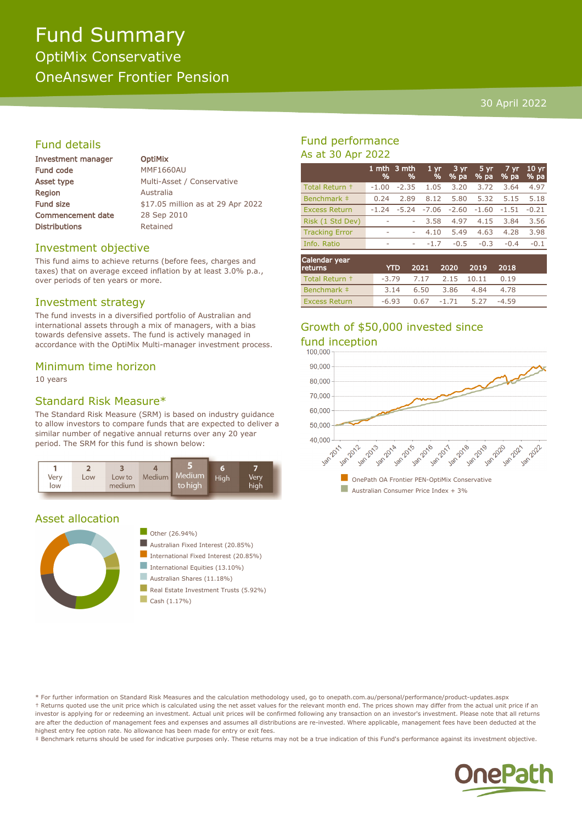### 30 April 2022

# Fund details

| Investment manager       | <b>OptiMix</b>                    |
|--------------------------|-----------------------------------|
| Fund code                | <b>MMF1660AU</b>                  |
| Asset type               | Multi-Asset / Conservative        |
| Region                   | Australia                         |
| <b>Fund size</b>         | \$17.05 million as at 29 Apr 2022 |
| <b>Commencement date</b> | 28 Sep 2010                       |
| <b>Distributions</b>     | Retained                          |
|                          |                                   |

/ Conservative

#### Investment objective

This fund aims to achieve returns (before fees, charges and taxes) that on average exceed inflation by at least 3.0% p.a., over periods of ten years or more.

#### Investment strategy

The fund invests in a diversified portfolio of Australian and international assets through a mix of managers, with a bias towards defensive assets. The fund is actively managed in accordance with the OptiMix Multi-manager investment process.

#### Minimum time horizon

10 years

## Standard Risk Measure\*

The Standard Risk Measure (SRM) is based on industry guidance to allow investors to compare funds that are expected to deliver a similar number of negative annual returns over any 20 year period. The SRM for this fund is shown below:



#### Asset allocation



#### $\Box$  Other (26.94%)

- $\blacksquare$  Australian Fixed Interest (20.85%)
	- International Fixed Interest (20.85%)
- International Equities  $(13.10\%)$
- Australian Shares (11.18%)
- Real Estate Investment Trusts (5.92%)
- $\Box$  Cash (1.17%)

## Fund performance As at 30 Apr 2022

|                       | %       | 1 mth 3 mth<br>% | 1 <sub>yr</sub><br>% | 3 yr<br>% pa | 5 yr<br>% pa | 7 yr<br>% pa | 10 <sub>yr</sub><br>% pa |
|-----------------------|---------|------------------|----------------------|--------------|--------------|--------------|--------------------------|
| Total Return +        | $-1.00$ | $-2.35$          | 1.05                 | 3.20         | 3.72         | 3.64         | 4.97                     |
| Benchmark #           | 0.24    | 2.89             | 8.12                 | 5.80         | 5.32         | 5.15         | 5.18                     |
| <b>Excess Return</b>  | $-1.24$ | $-5.24$          | $-7.06$              | $-2.60$      | $-1.60$      | -1.51        | $-0.21$                  |
| Risk (1 Std Dev)      | ۰       | ۰                | 3.58                 | 4.97         | 4.15         | 3.84         | 3.56                     |
| <b>Tracking Error</b> | ۰       | ۰                | 4.10                 | 5.49         | 4.63         | 4.28         | 3.98                     |
| Info. Ratio           | ۰       | ۰                | $-1.7$               | $-0.5$       | $-0.3$       | $-0.4$       | $-0.1$                   |
| Calendar year         |         |                  |                      |              |              |              |                          |

| Calendar year<br>returns | <b>YTD</b> |                               | 2021 2020 2019 2018      |         |  |
|--------------------------|------------|-------------------------------|--------------------------|---------|--|
| Total Return +           |            | $-3.79$ $7.17$ $2.15$ $10.11$ |                          | 0.19    |  |
| Benchmark #              |            |                               | 3.14 6.50 3.86 4.84 4.78 |         |  |
| <b>Excess Return</b>     |            | $-6.93$ 0.67 $-1.71$          | 5.27                     | $-4.59$ |  |

# Growth of \$50,000 invested since fund inception



\* For further information on Standard Risk Measures and the calculation methodology used, go to onepath.com.au/personal/performance/product-updates.aspx † Returns quoted use the unit price which is calculated using the net asset values for the relevant month end. The prices shown may differ from the actual unit price if an investor is applying for or redeeming an investment. Actual unit prices will be confirmed following any transaction on an investor's investment. Please note that all returns are after the deduction of management fees and expenses and assumes all distributions are re-invested. Where applicable, management fees have been deducted at the highest entry fee option rate. No allowance has been made for entry or exit fees.

‡ Benchmark returns should be used for indicative purposes only. These returns may not be a true indication of this Fund's performance against its investment objective.